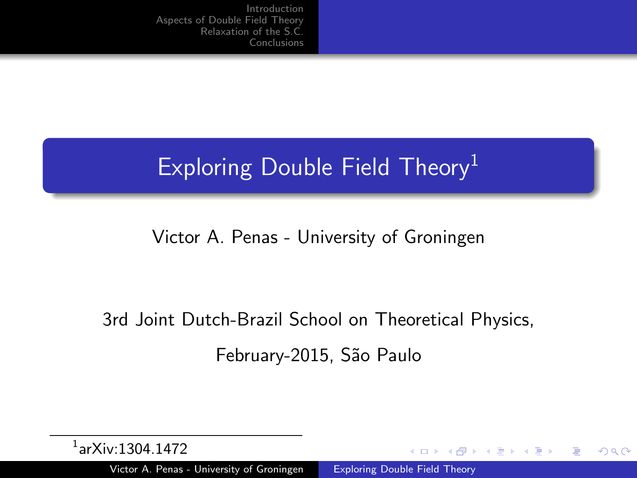# Exploring Double Field Theory<sup>1</sup>

#### Victor A. Penas - University of Groningen

# 3rd Joint Dutch-Brazil School on Theoretical Physics, February-2015, São Paulo

and in  $\overline{A}$  <span id="page-0-0"></span>つくい

| $^1$ ar $X$ iv:1304.1472 |  |
|--------------------------|--|
|--------------------------|--|

Victor A. Penas - University of Groningen [Exploring Double Field Theory](#page-6-0)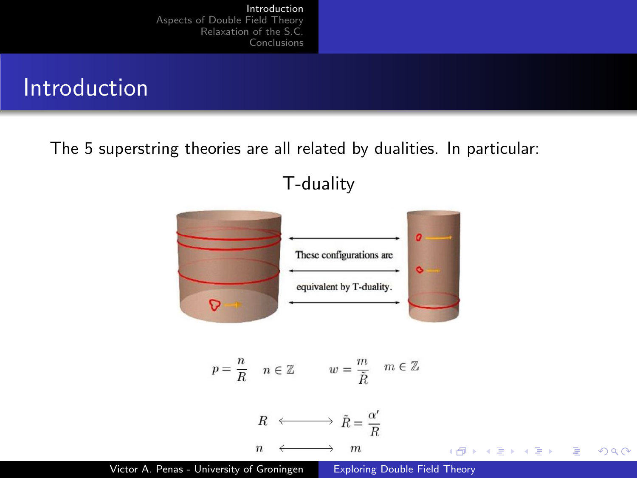### Introduction

The 5 superstring theories are all related by dualities. In particular:

T-duality



Victor A. Penas - University of Groningen [Exploring Double Field Theory](#page-0-0)

<span id="page-1-0"></span>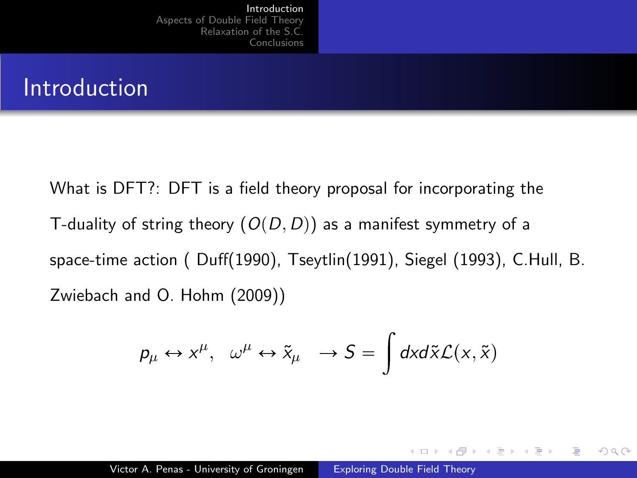#### Introduction

What is DFT?: DFT is a field theory proposal for incorporating the T-duality of string theory  $(O(D, D))$  as a manifest symmetry of a space-time action ( Duff(1990), Tseytlin(1991), Siegel (1993), C.Hull, B. Zwiebach and O. Hohm (2009))

$$
p_{\mu} \leftrightarrow x^{\mu}, \quad \omega^{\mu} \leftrightarrow \tilde{x}_{\mu} \quad \rightarrow S = \int dx d\tilde{x} \mathcal{L}(x, \tilde{x})
$$

 $\Omega$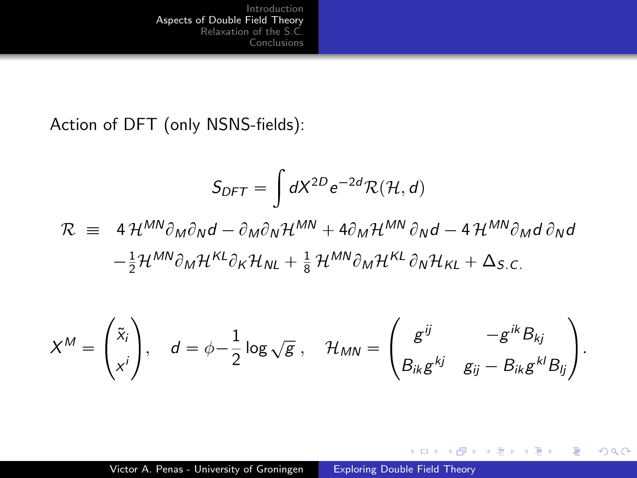Action of DFT (only NSNS-fields):

$$
S_{DFT} = \int dX^{2D} e^{-2d} \mathcal{R}(\mathcal{H}, d)
$$
  

$$
\mathcal{R} \equiv 4 \mathcal{H}^{MN} \partial_M \partial_N d - \partial_M \partial_N \mathcal{H}^{MN} + 4 \partial_M \mathcal{H}^{MN} \partial_N d - 4 \mathcal{H}^{MN} \partial_M d \partial_N d
$$

$$
-\frac{1}{2} \mathcal{H}^{MN} \partial_M \mathcal{H}^{KL} \partial_K \mathcal{H}_{NL} + \frac{1}{8} \mathcal{H}^{MN} \partial_M \mathcal{H}^{KL} \partial_N \mathcal{H}_{KL} + \Delta_{S.C.}
$$

$$
X^M = \begin{pmatrix} \tilde{x}_i \\ x^i \end{pmatrix}, \quad d = \phi - \frac{1}{2} \log \sqrt{g} \ , \quad \mathcal{H}_{MN} = \begin{pmatrix} g^{ij} & -g^{ik} B_{kj} \\ B_{ik}g^{kj} & g_{ij} - B_{ik}g^{kl} B_{lj} \end{pmatrix}.
$$

4 0 8

4 何 ▶

- 大唐 8 - 大唐 8

目

<span id="page-3-0"></span> $299$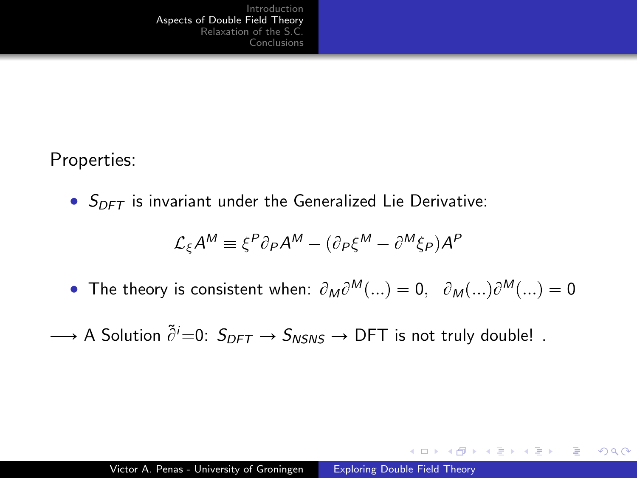Properties:

•  $S_{DFT}$  is invariant under the Generalized Lie Derivative:

$$
\mathcal{L}_{\xi} A^M \equiv \xi^P \partial_P A^M - (\partial_P \xi^M - \partial^M \xi_P) A^P
$$

- The theory is consistent when:  $\partial_M \partial^M(...) = 0$ ,  $\partial_M(...)\partial^M(...) = 0$
- $\longrightarrow$  A Solution  $\tilde{\partial}^i=0$ :  $S_{DFT} \rightarrow S_{NSNS} \rightarrow$  DFT is not truly double! .

 $\Omega$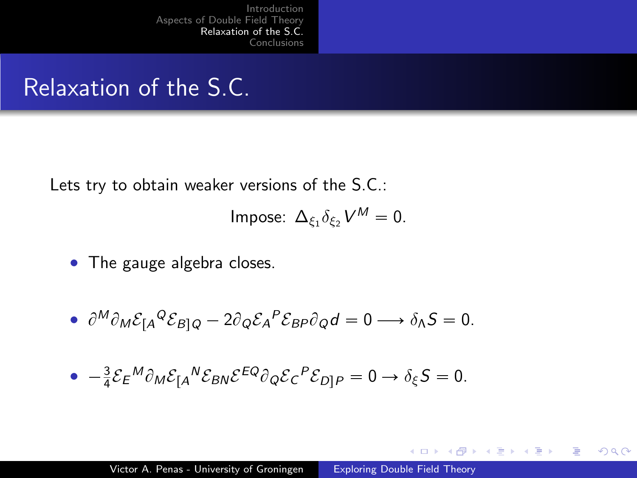## Relaxation of the S.C.

Lets try to obtain weaker versions of the S.C.:

$$
Impose: \ \Delta_{\xi_1} \delta_{\xi_2} V^M = 0.
$$

• The gauge algebra closes.

• 
$$
\partial^M \partial_M \mathcal{E}_{[A}^Q \mathcal{E}_{B]Q} - 2 \partial_Q \mathcal{E}_A^P \mathcal{E}_{BP} \partial_Q d = 0 \longrightarrow \delta_A S = 0.
$$

• 
$$
-\frac{3}{4}\mathcal{E}_{E}{}^{M}\partial_{M}\mathcal{E}_{A}{}^{N}\mathcal{E}_{BN}\mathcal{E}^{EQ}\partial_{Q}\mathcal{E}_{C}{}^{P}\mathcal{E}_{D]P}=0 \rightarrow \delta_{\xi}S=0.
$$

 $\sim$   $-$ 

点

 $\sim$ 

任

 $2990$ 

<span id="page-5-0"></span>э